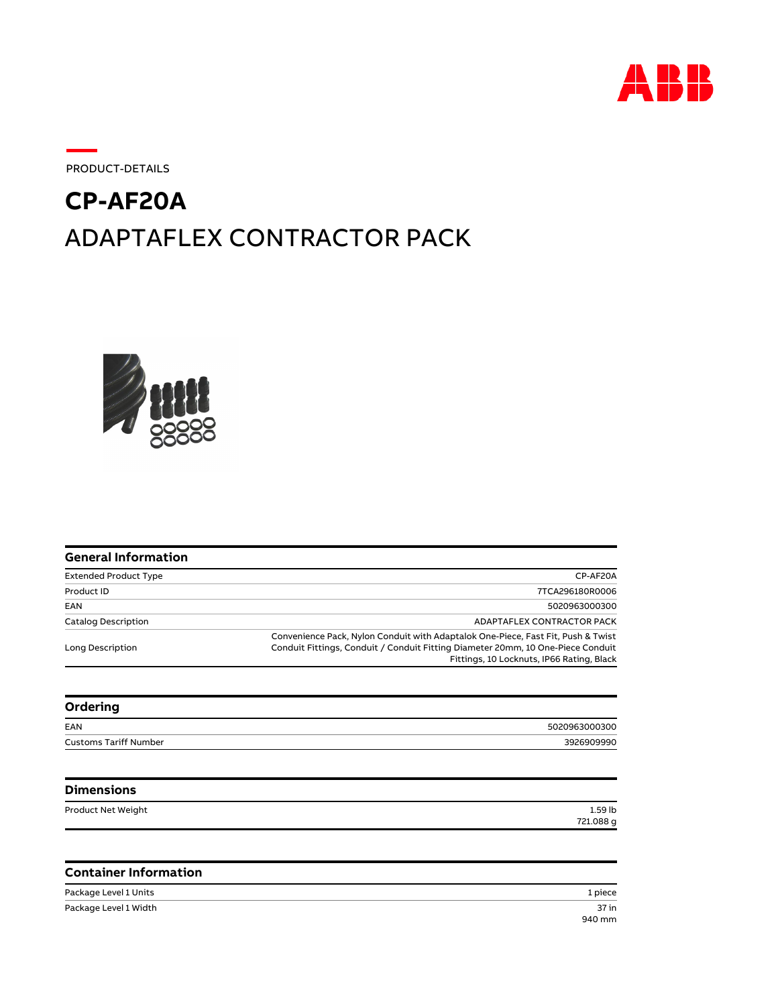

PRODUCT-DETAILS

## ADAPTAFLEX CONTRACTOR PACK **CP-AF20A**



| <b>General Information</b>   |                                                                                                                                                                                                                  |
|------------------------------|------------------------------------------------------------------------------------------------------------------------------------------------------------------------------------------------------------------|
| <b>Extended Product Type</b> | CP-AF20A                                                                                                                                                                                                         |
| Product ID                   | 7TCA296180R0006                                                                                                                                                                                                  |
| EAN                          | 5020963000300                                                                                                                                                                                                    |
| <b>Catalog Description</b>   | ADAPTAFLEX CONTRACTOR PACK                                                                                                                                                                                       |
| Long Description             | Convenience Pack, Nylon Conduit with Adaptalok One-Piece, Fast Fit, Push & Twist<br>Conduit Fittings, Conduit / Conduit Fitting Diameter 20mm, 10 One-Piece Conduit<br>Fittings, 10 Locknuts, IP66 Rating, Black |
| Ordering                     |                                                                                                                                                                                                                  |
| EAN                          | 5020963000300                                                                                                                                                                                                    |
| <b>Customs Tariff Number</b> | 3926909990                                                                                                                                                                                                       |
| <b>Dimensions</b>            |                                                                                                                                                                                                                  |
| Product Net Weight           | $1.59$ lb<br>721.088 g                                                                                                                                                                                           |
|                              |                                                                                                                                                                                                                  |
| <b>Container Information</b> |                                                                                                                                                                                                                  |

Package Level 1 Units 1 piece Package Level 1 Width

37 in
940 mm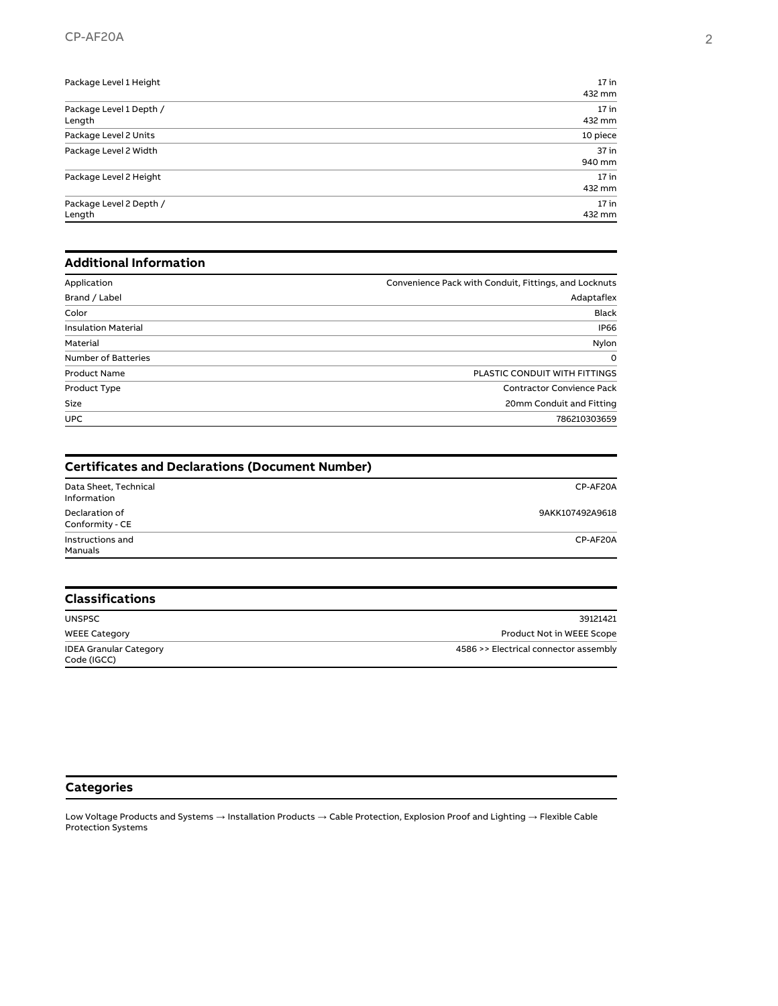| Package Level 1 Height  | $17$ in  |
|-------------------------|----------|
|                         | 432 mm   |
| Package Level 1 Depth / | $17$ in  |
| Length                  | 432 mm   |
| Package Level 2 Units   | 10 piece |
| Package Level 2 Width   | $37$ in  |
|                         | 940 mm   |
| Package Level 2 Height  | $17$ in  |
|                         | 432 mm   |
| Package Level 2 Depth / | $17$ in  |
| Length                  | 432 mm   |

## **Additional Information**

| Application                | Convenience Pack with Conduit, Fittings, and Locknuts |
|----------------------------|-------------------------------------------------------|
| Brand / Label              | Adaptaflex                                            |
| Color                      | <b>Black</b>                                          |
| <b>Insulation Material</b> | <b>IP66</b>                                           |
| Material                   | Nylon                                                 |
| <b>Number of Batteries</b> | $\Omega$                                              |
| <b>Product Name</b>        | PLASTIC CONDUIT WITH FITTINGS                         |
| Product Type               | <b>Contractor Convience Pack</b>                      |
| Size                       | 20mm Conduit and Fitting                              |
| <b>UPC</b>                 | 786210303659                                          |

| <b>Certificates and Declarations (Document Number)</b> |                 |  |
|--------------------------------------------------------|-----------------|--|
| Data Sheet, Technical<br>Information                   | CP-AF20A        |  |
| Declaration of<br>Conformity - CE                      | 9AKK107492A9618 |  |
| Instructions and<br>Manuals                            | CP-AF20A        |  |

| <b>Classifications</b>                       |                                       |  |
|----------------------------------------------|---------------------------------------|--|
| <b>UNSPSC</b>                                | 39121421                              |  |
| <b>WEEE Category</b>                         | Product Not in WEEE Scope             |  |
| <b>IDEA Granular Category</b><br>Code (IGCC) | 4586 >> Electrical connector assembly |  |

## **Categories**

Low Voltage Products and Systems → Installation Products → Cable Protection, Explosion Proof and Lighting → Flexible Cable Protection Systems